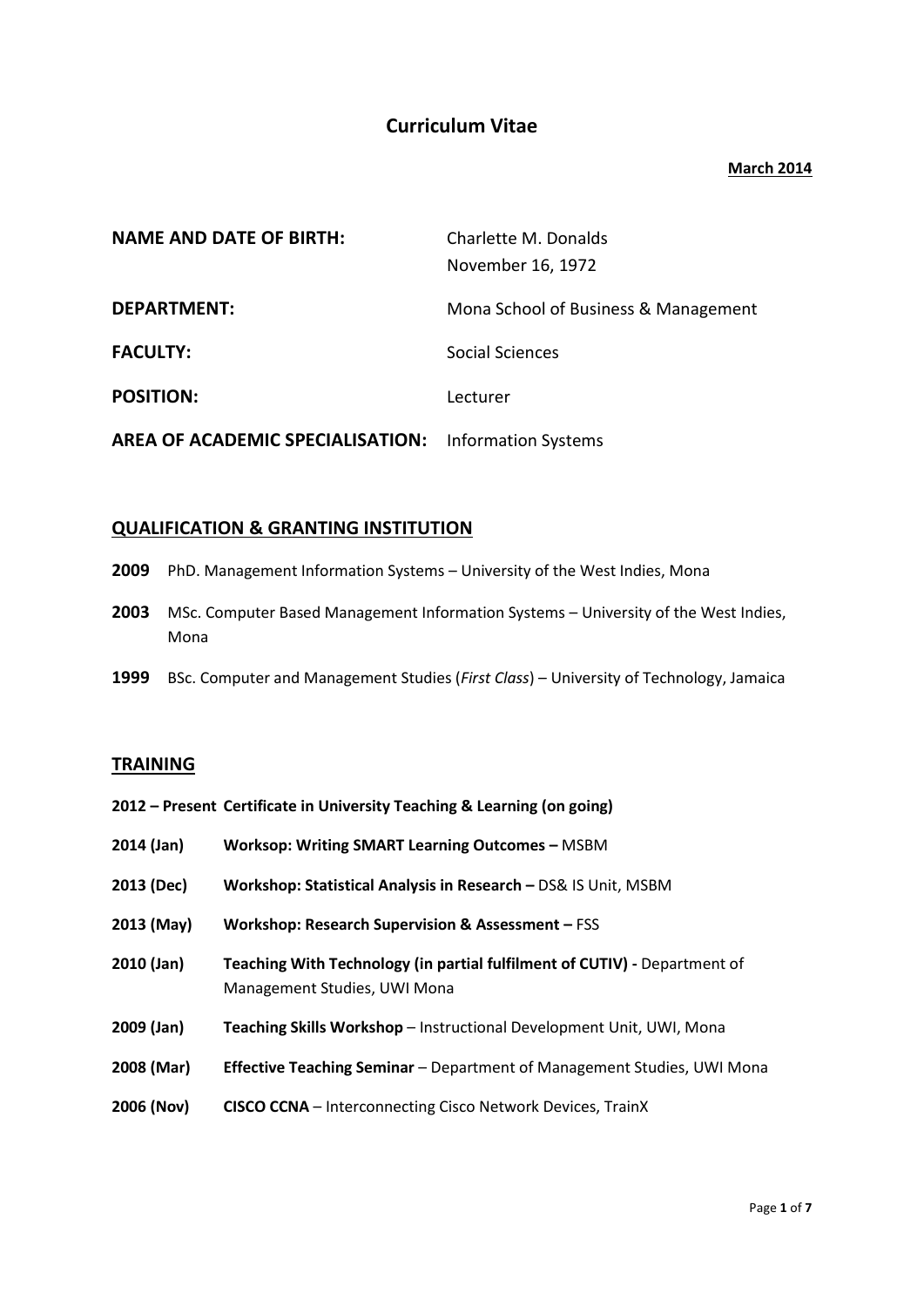# **Curriculum Vitae**

### **March 2014**

| <b>NAME AND DATE OF BIRTH:</b>   | Charlette M. Donalds<br>November 16, 1972 |
|----------------------------------|-------------------------------------------|
| <b>DEPARTMENT:</b>               | Mona School of Business & Management      |
| <b>FACULTY:</b>                  | Social Sciences                           |
| <b>POSITION:</b>                 | Lecturer                                  |
| AREA OF ACADEMIC SPECIALISATION: | <b>Information Systems</b>                |

# **QUALIFICATION & GRANTING INSTITUTION**

- **2009** PhD. Management Information Systems University of the West Indies, Mona
- **2003** MSc. Computer Based Management Information Systems University of the West Indies, Mona
- **1999** BSc. Computer and Management Studies (*First Class*) University of Technology, Jamaica

# **TRAINING**

- **2012 – Present Certificate in University Teaching & Learning (on going)**
- **2014 (Jan) Worksop: Writing SMART Learning Outcomes –** MSBM
- **2013 (Dec) Workshop: Statistical Analysis in Research –** DS& IS Unit, MSBM
- **2013 (May) Workshop: Research Supervision & Assessment –** FSS
- **2010 (Jan) Teaching With Technology (in partial fulfilment of CUTIV) -** Department of Management Studies, UWI Mona
- **2009 (Jan) Teaching Skills Workshop** Instructional Development Unit, UWI, Mona
- **2008 (Mar) Effective Teaching Seminar** Department of Management Studies, UWI Mona
- **2006 (Nov) CISCO CCNA** Interconnecting Cisco Network Devices, TrainX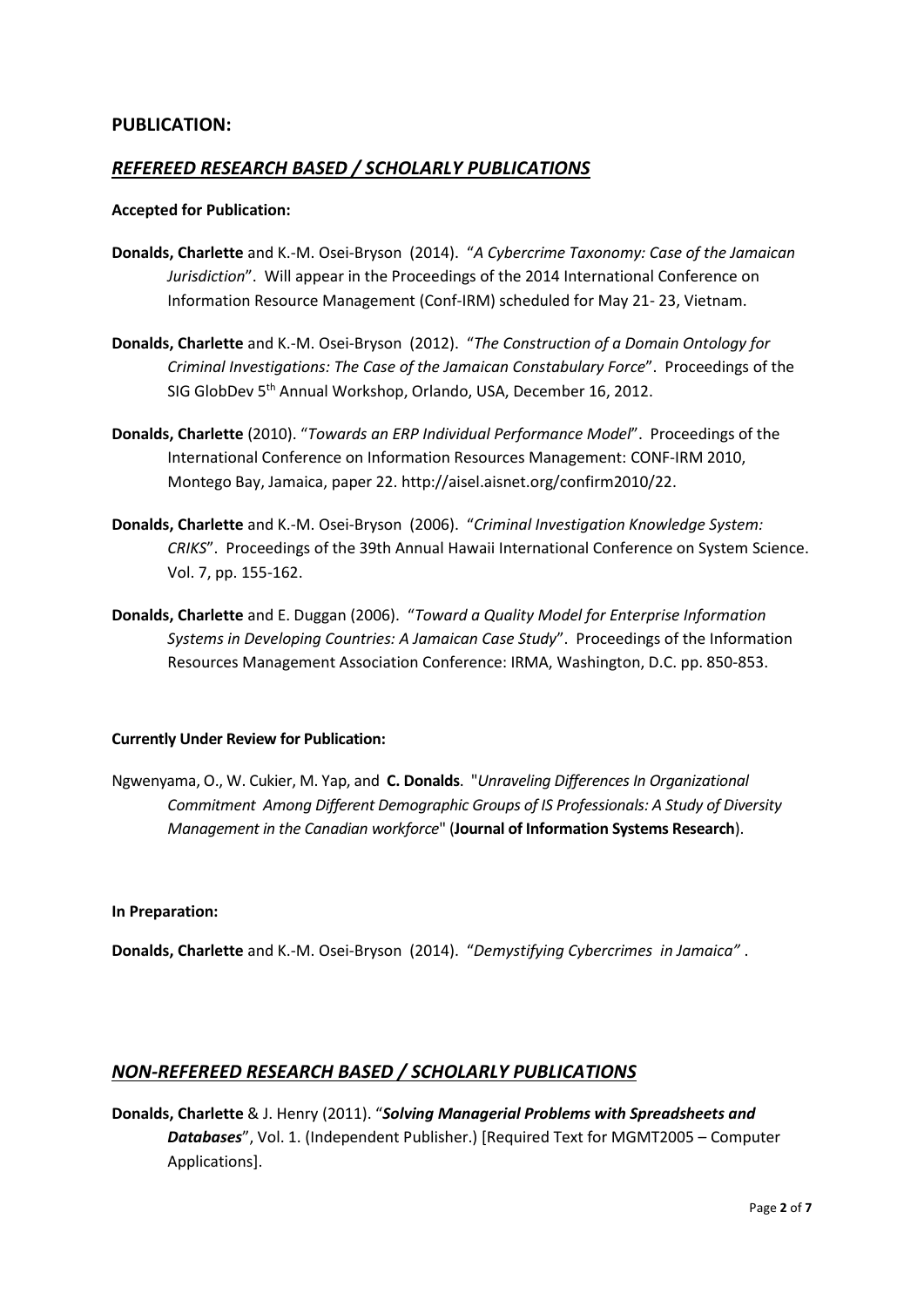### **PUBLICATION:**

# *REFEREED RESEARCH BASED / SCHOLARLY PUBLICATIONS*

#### **Accepted for Publication:**

- **Donalds, Charlette** and K.-M. Osei-Bryson (2014). "*A Cybercrime Taxonomy: Case of the Jamaican Jurisdiction*". Will appear in the Proceedings of the 2014 International Conference on Information Resource Management (Conf-IRM) scheduled for May 21- 23, Vietnam.
- **Donalds, Charlette** and K.-M. Osei-Bryson (2012). "*The Construction of a Domain Ontology for Criminal Investigations: The Case of the Jamaican Constabulary Force*". Proceedings of the SIG GlobDev 5<sup>th</sup> Annual Workshop, Orlando, USA, December 16, 2012.
- **Donalds, Charlette** (2010). "*Towards an ERP Individual Performance Model*". Proceedings of the International Conference on Information Resources Management: CONF-IRM 2010, Montego Bay, Jamaica, paper 22. http://aisel.aisnet.org/confirm2010/22.
- **Donalds, Charlette** and K.-M. Osei-Bryson (2006). "*Criminal Investigation Knowledge System: CRIKS*". Proceedings of the 39th Annual Hawaii International Conference on System Science. Vol. 7, pp. 155-162.
- **Donalds, Charlette** and E. Duggan (2006). "*Toward a Quality Model for Enterprise Information Systems in Developing Countries: A Jamaican Case Study*". Proceedings of the Information Resources Management Association Conference: IRMA, Washington, D.C. pp. 850-853.

#### **Currently Under Review for Publication:**

Ngwenyama, O., W. Cukier, M. Yap, and **C. Donalds**. "*Unraveling Differences In Organizational Commitment Among Different Demographic Groups of IS Professionals: A Study of Diversity Management in the Canadian workforce*" (**Journal of Information Systems Research**).

#### **In Preparation:**

**Donalds, Charlette** and K.-M. Osei-Bryson (2014). "*Demystifying Cybercrimes in Jamaica"* .

# *NON-REFEREED RESEARCH BASED / SCHOLARLY PUBLICATIONS*

**Donalds, Charlette** & J. Henry (2011). "*Solving Managerial Problems with Spreadsheets and Databases*", Vol. 1. (Independent Publisher.) [Required Text for MGMT2005 – Computer Applications].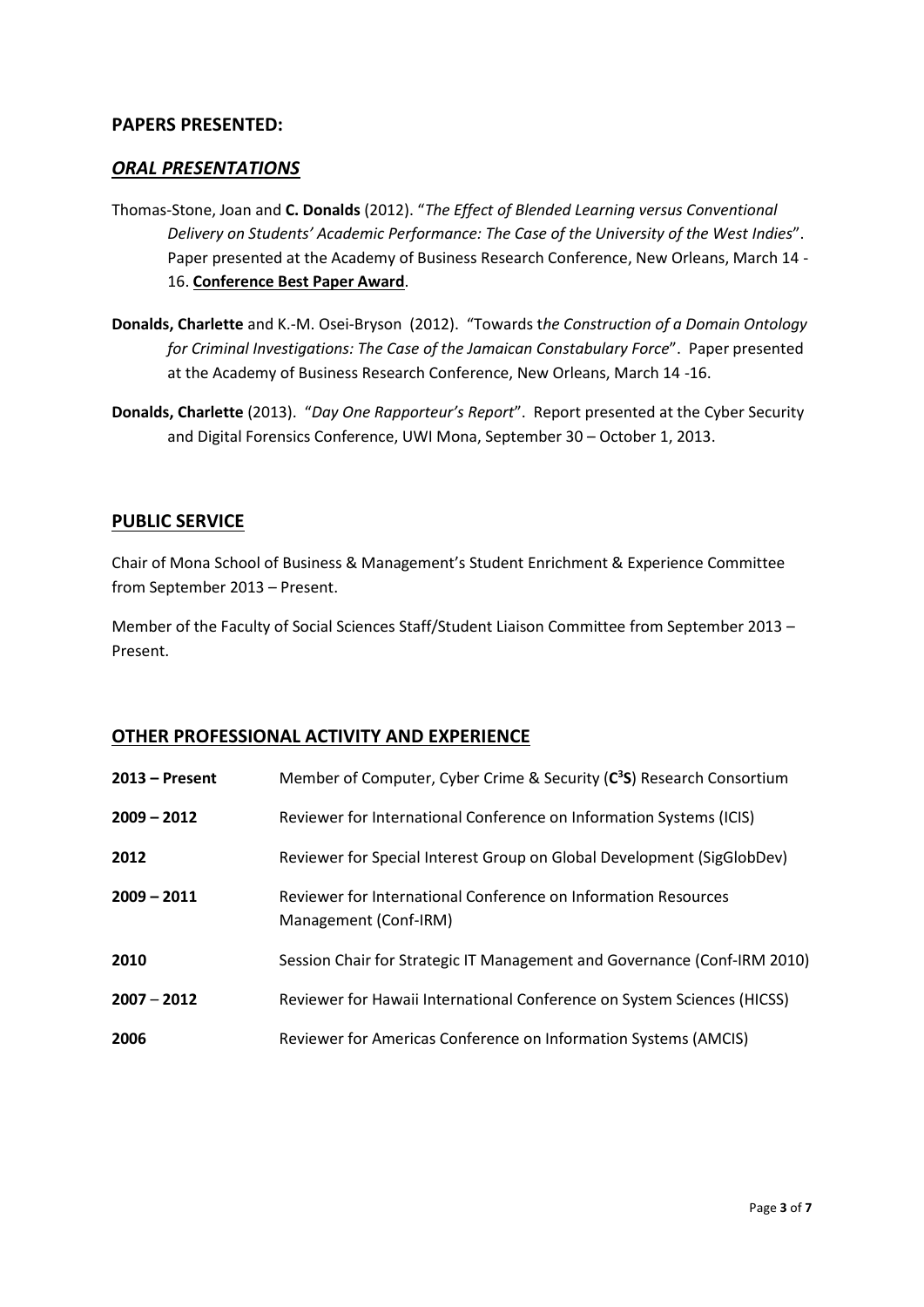### **PAPERS PRESENTED:**

### *ORAL PRESENTATIONS*

- Thomas-Stone, Joan and **C. Donalds** (2012). "*The Effect of Blended Learning versus Conventional Delivery on Students' Academic Performance: The Case of the University of the West Indies*". Paper presented at the Academy of Business Research Conference, New Orleans, March 14 - 16. **Conference Best Paper Award**.
- **Donalds, Charlette** and K.-M. Osei-Bryson (2012). "Towards t*he Construction of a Domain Ontology for Criminal Investigations: The Case of the Jamaican Constabulary Force*". Paper presented at the Academy of Business Research Conference, New Orleans, March 14 -16.
- **Donalds, Charlette** (2013). "*Day One Rapporteur's Report*". Report presented at the Cyber Security and Digital Forensics Conference, UWI Mona, September 30 – October 1, 2013.

### **PUBLIC SERVICE**

Chair of Mona School of Business & Management's Student Enrichment & Experience Committee from September 2013 – Present.

Member of the Faculty of Social Sciences Staff/Student Liaison Committee from September 2013 – Present.

#### **OTHER PROFESSIONAL ACTIVITY AND EXPERIENCE**

| $2013$ – Present | Member of Computer, Cyber Crime & Security (C <sup>3</sup> S) Research Consortium       |
|------------------|-----------------------------------------------------------------------------------------|
| $2009 - 2012$    | Reviewer for International Conference on Information Systems (ICIS)                     |
| 2012             | Reviewer for Special Interest Group on Global Development (SigGlobDev)                  |
| $2009 - 2011$    | Reviewer for International Conference on Information Resources<br>Management (Conf-IRM) |
| 2010             | Session Chair for Strategic IT Management and Governance (Conf-IRM 2010)                |
| $2007 - 2012$    | Reviewer for Hawaii International Conference on System Sciences (HICSS)                 |
| 2006             | Reviewer for Americas Conference on Information Systems (AMCIS)                         |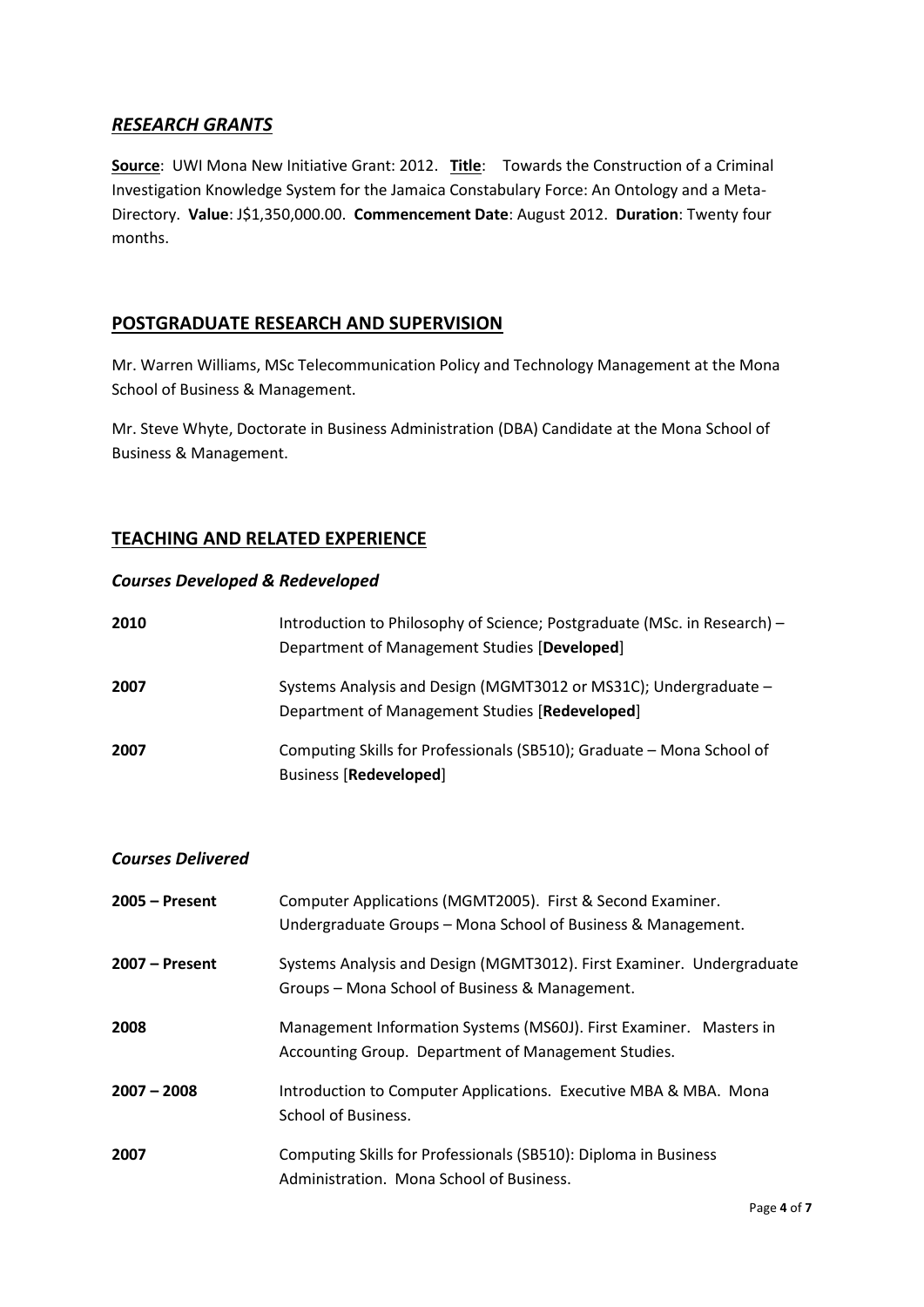# *RESEARCH GRANTS*

**Source**: UWI Mona New Initiative Grant: 2012. **Title**: Towards the Construction of a Criminal Investigation Knowledge System for the Jamaica Constabulary Force: An Ontology and a Meta-Directory. **Value**: J\$1,350,000.00. **Commencement Date**: August 2012. **Duration**: Twenty four months.

### **POSTGRADUATE RESEARCH AND SUPERVISION**

Mr. Warren Williams, MSc Telecommunication Policy and Technology Management at the Mona School of Business & Management.

Mr. Steve Whyte, Doctorate in Business Administration (DBA) Candidate at the Mona School of Business & Management.

# **TEACHING AND RELATED EXPERIENCE**

#### *Courses Developed & Redeveloped*

| 2010 | Introduction to Philosophy of Science; Postgraduate (MSc. in Research) –<br>Department of Management Studies [Developed] |
|------|--------------------------------------------------------------------------------------------------------------------------|
| 2007 | Systems Analysis and Design (MGMT3012 or MS31C); Undergraduate -<br>Department of Management Studies [Redeveloped]       |
| 2007 | Computing Skills for Professionals (SB510); Graduate - Mona School of<br><b>Business [Redeveloped]</b>                   |

#### *Courses Delivered*

| $2005 -$ Present | Computer Applications (MGMT2005). First & Second Examiner.<br>Undergraduate Groups - Mona School of Business & Management. |
|------------------|----------------------------------------------------------------------------------------------------------------------------|
| $2007 -$ Present | Systems Analysis and Design (MGMT3012). First Examiner. Undergraduate<br>Groups – Mona School of Business & Management.    |
| 2008             | Management Information Systems (MS60J). First Examiner. Masters in<br>Accounting Group. Department of Management Studies.  |
| $2007 - 2008$    | Introduction to Computer Applications. Executive MBA & MBA. Mona<br>School of Business.                                    |
| 2007             | Computing Skills for Professionals (SB510): Diploma in Business<br>Administration. Mona School of Business.                |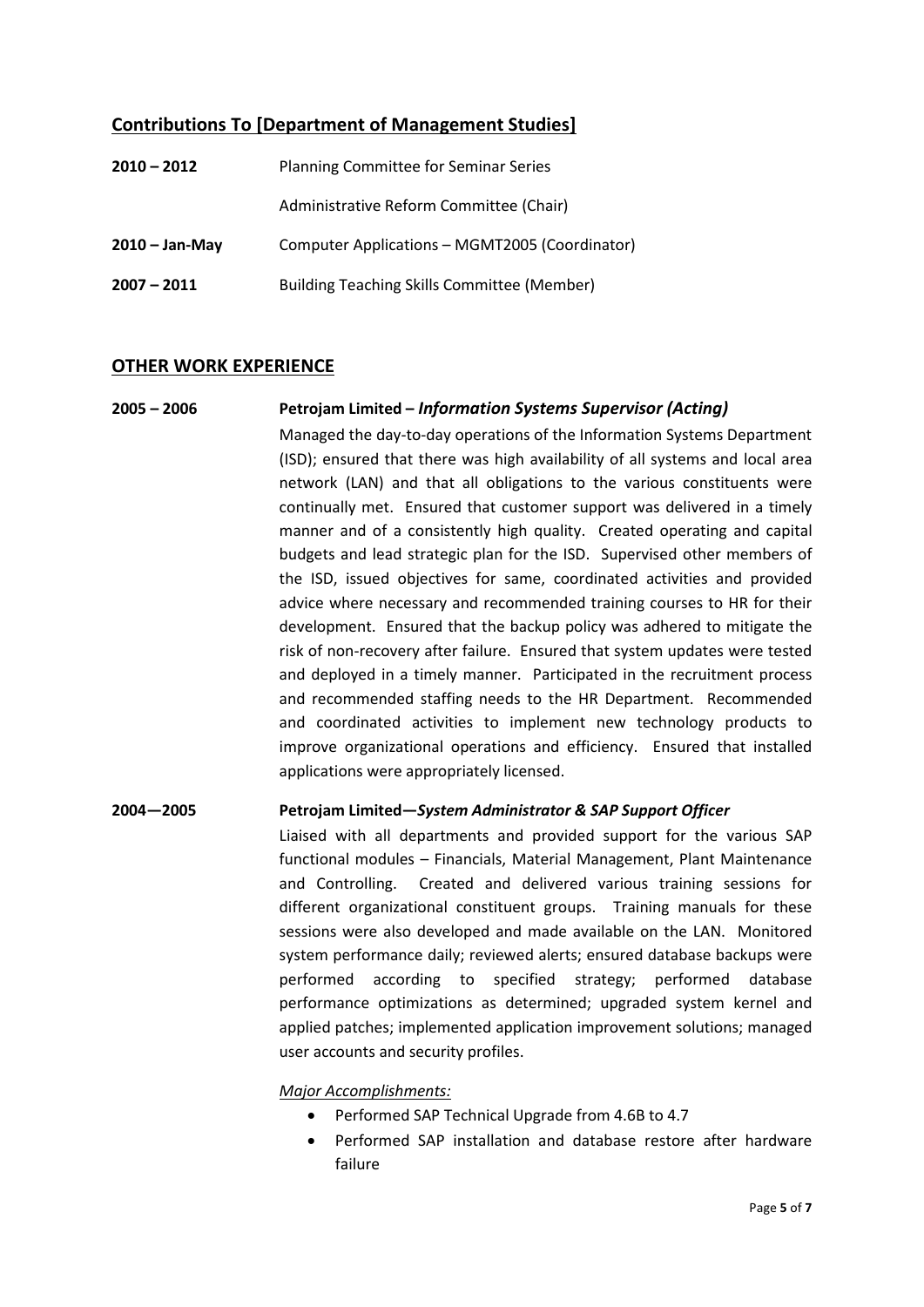# **Contributions To [Department of Management Studies]**

| $2010 - 2012$    | <b>Planning Committee for Seminar Series</b>       |
|------------------|----------------------------------------------------|
|                  | Administrative Reform Committee (Chair)            |
| $2010 - Jan-May$ | Computer Applications - MGMT2005 (Coordinator)     |
| $2007 - 2011$    | <b>Building Teaching Skills Committee (Member)</b> |

### **OTHER WORK EXPERIENCE**

# **2005 – 2006 Petrojam Limited –** *Information Systems Supervisor (Acting)* Managed the day-to-day operations of the Information Systems Department (ISD); ensured that there was high availability of all systems and local area network (LAN) and that all obligations to the various constituents were continually met. Ensured that customer support was delivered in a timely manner and of a consistently high quality. Created operating and capital budgets and lead strategic plan for the ISD. Supervised other members of the ISD, issued objectives for same, coordinated activities and provided advice where necessary and recommended training courses to HR for their development. Ensured that the backup policy was adhered to mitigate the risk of non-recovery after failure. Ensured that system updates were tested and deployed in a timely manner. Participated in the recruitment process and recommended staffing needs to the HR Department. Recommended and coordinated activities to implement new technology products to improve organizational operations and efficiency. Ensured that installed applications were appropriately licensed.

#### **2004—2005 Petrojam Limited—***System Administrator & SAP Support Officer*

Liaised with all departments and provided support for the various SAP functional modules – Financials, Material Management, Plant Maintenance and Controlling. Created and delivered various training sessions for different organizational constituent groups. Training manuals for these sessions were also developed and made available on the LAN. Monitored system performance daily; reviewed alerts; ensured database backups were performed according to specified strategy; performed database performance optimizations as determined; upgraded system kernel and applied patches; implemented application improvement solutions; managed user accounts and security profiles.

#### *Major Accomplishments:*

- Performed SAP Technical Upgrade from 4.6B to 4.7
- Performed SAP installation and database restore after hardware failure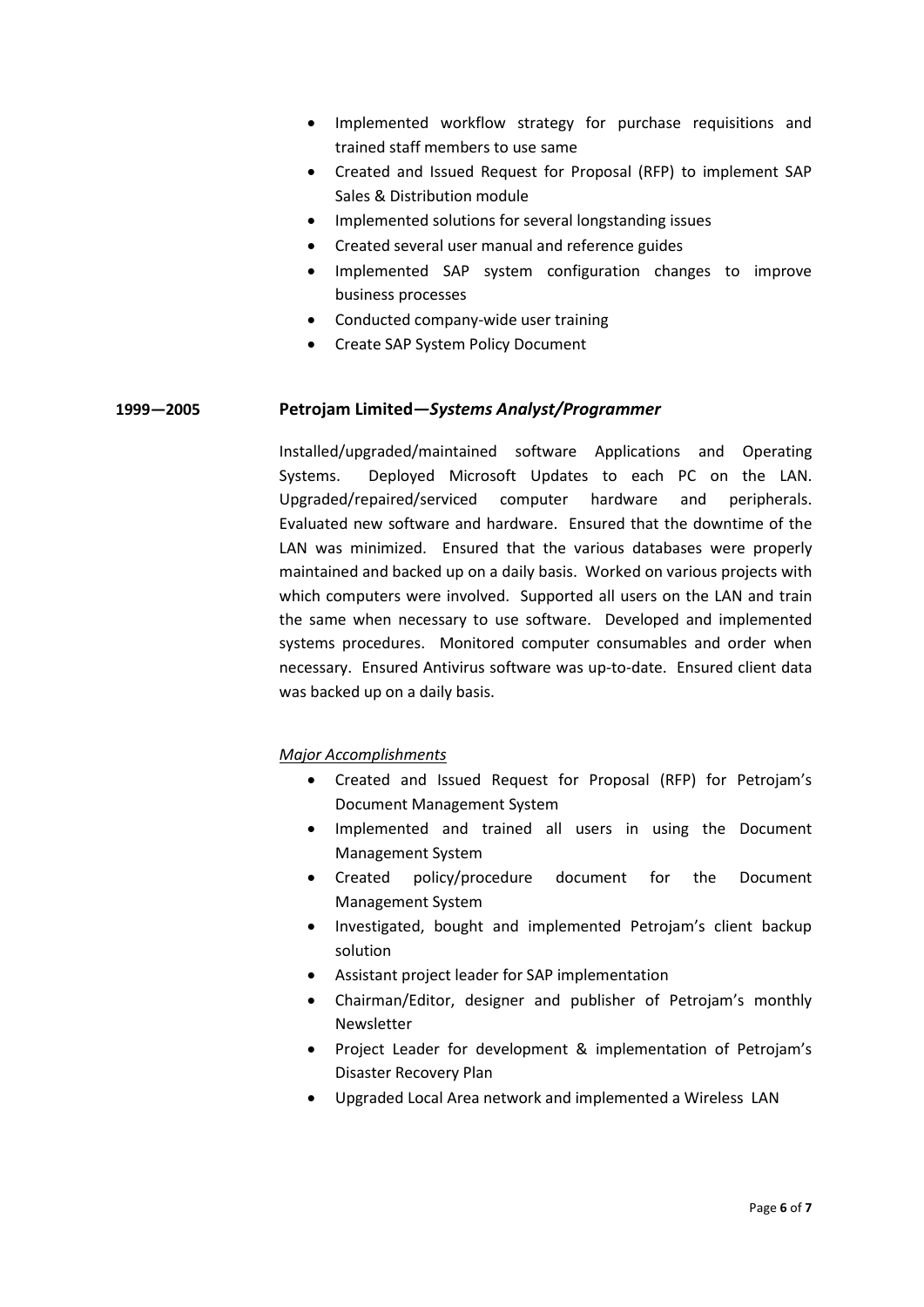- Implemented workflow strategy for purchase requisitions and trained staff members to use same
- Created and Issued Request for Proposal (RFP) to implement SAP Sales & Distribution module
- Implemented solutions for several longstanding issues
- Created several user manual and reference guides
- Implemented SAP system configuration changes to improve business processes
- Conducted company-wide user training
- Create SAP System Policy Document

#### **1999—2005 Petrojam Limited***—Systems Analyst/Programmer*

Installed/upgraded/maintained software Applications and Operating Systems. Deployed Microsoft Updates to each PC on the LAN. Upgraded/repaired/serviced computer hardware and peripherals. Evaluated new software and hardware. Ensured that the downtime of the LAN was minimized. Ensured that the various databases were properly maintained and backed up on a daily basis. Worked on various projects with which computers were involved. Supported all users on the LAN and train the same when necessary to use software. Developed and implemented systems procedures. Monitored computer consumables and order when necessary. Ensured Antivirus software was up-to-date. Ensured client data was backed up on a daily basis.

#### *Major Accomplishments*

- Created and Issued Request for Proposal (RFP) for Petrojam's Document Management System
- Implemented and trained all users in using the Document Management System
- Created policy/procedure document for the Document Management System
- Investigated, bought and implemented Petrojam's client backup solution
- Assistant project leader for SAP implementation
- Chairman/Editor, designer and publisher of Petrojam's monthly Newsletter
- Project Leader for development & implementation of Petrojam's Disaster Recovery Plan
- Upgraded Local Area network and implemented a Wireless LAN